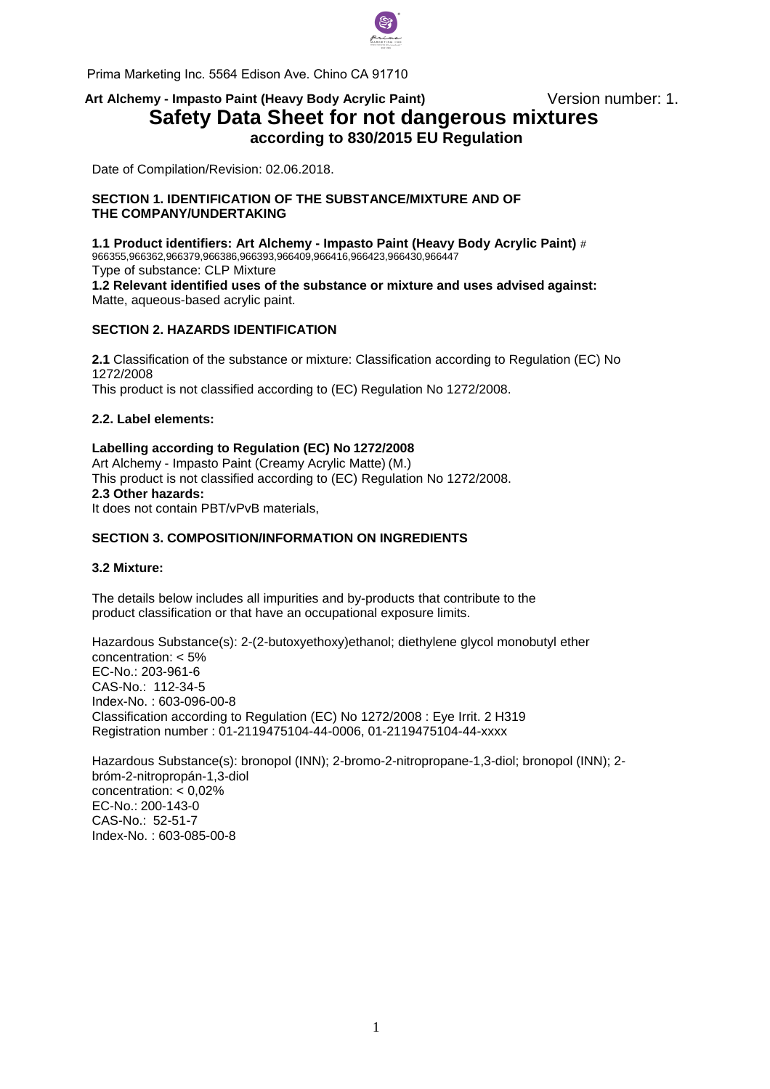

Prima Marketing Inc. 5564 Edison Ave. Chino CA 91710

# Art Alchemy - Impasto Paint (Heavy Body Acrylic Paint) **Version number: 1. Safety Data Sheet for not dangerous mixtures according to 830/2015 EU Regulation**

Date of Compilation/Revision: 02.06.2018.

#### **SECTION 1. IDENTIFICATION OF THE SUBSTANCE/MIXTURE AND OF THE COMPANY/UNDERTAKING**

**1.1 Product identifiers: Art Alchemy - Impasto Paint (Heavy Body Acrylic Paint)** # 966355,966362,966379,966386,966393,966409,966416,966423,966430,966447 Type of substance: CLP Mixture

**1.2 Relevant identified uses of the substance or mixture and uses advised against:**  Matte, aqueous-based acrylic paint.

## **SECTION 2. HAZARDS IDENTIFICATION**

**2.1** Classification of the substance or mixture: Classification according to Regulation (EC) No 1272/2008 This pr[oduct is not classified](mailto:info@pentacolor.hu) according to (EC) Regulation No 1272/2008.

#### **2.2. Label elements:**

## **Labelling according to Regulation (EC) No 1272/2008**  Art Alchemy - Impasto Paint (Creamy Acrylic Matte) (M.) This product is not classified according to (EC) Regulation No 1272/2008.

**2.3 Other hazards:**  It does not contain PBT/vPvB materials,

## **SECTION 3. COMPOSITION/INFORMATION ON INGREDIENTS**

## **3.2 Mixture:**

The details below includes all impurities and by-products that contribute to the product classification or that have an occupational exposure limits.

Hazardous Substance(s): 2-(2-butoxyethoxy)ethanol; diethylene glycol monobutyl ether concentration: < 5% EC-No.: 203-961-6 CAS-No.: 112-34-5 Index-No. : 603-096-00-8 Classification according to Regulation (EC) No 1272/2008 : Eye Irrit. 2 H319 Registration number : 01-2119475104-44-0006, 01-2119475104-44-xxxx

Hazardous Substance(s): bronopol (INN); 2-bromo-2-nitropropane-1,3-diol; bronopol (INN); 2 bróm-2-nitropropán-1,3-diol concentration: < 0,02% EC-No.: 200-143-0 CAS-No.: 52-51-7 Index-No. : 603-085-00-8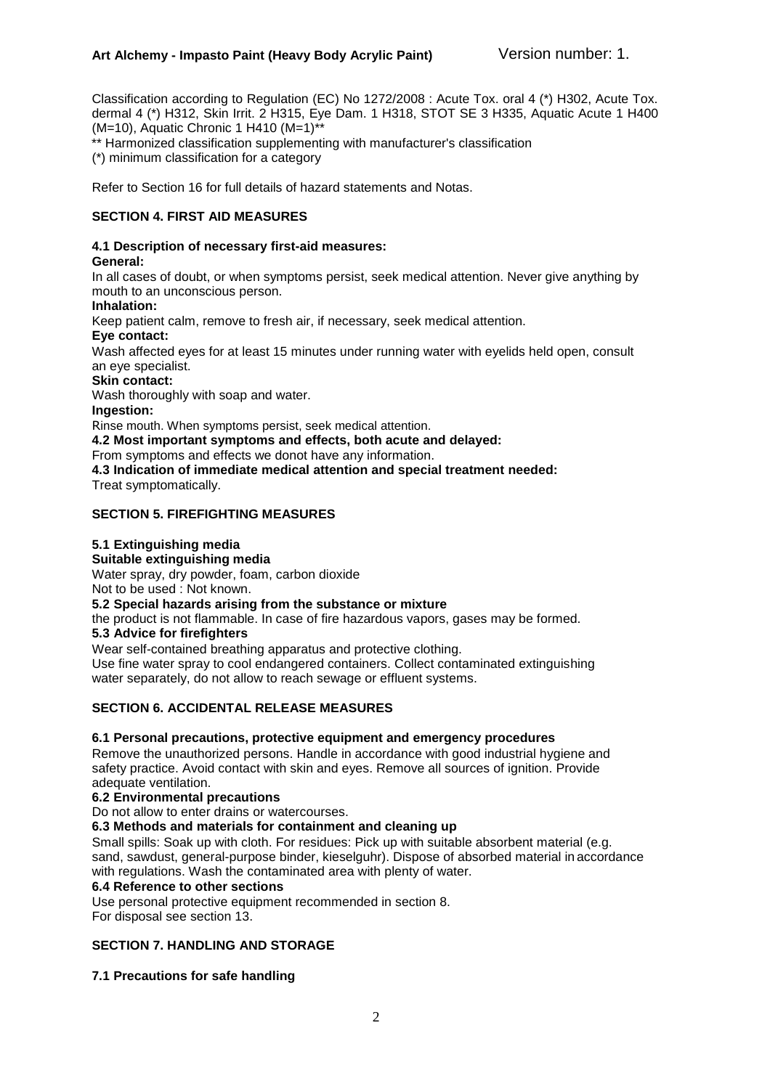## **Art Alchemy - Impasto Paint (Heavy Body Acrylic Paint)** Version number: 1.

Classification according to Regulation (EC) No 1272/2008 : Acute Tox. oral 4 (\*) H302, Acute Tox. dermal 4 (\*) H312, Skin Irrit. 2 H315, Eye Dam. 1 H318, STOT SE 3 H335, Aquatic Acute 1 H400 (M=10), Aquatic Chronic 1 H410 (M=1)\*\*

\* Harmonized classification supplementing with manufacturer's classification (\*) minimum classification for a category

Refer to Section 16 for full details of hazard statements and Notas.

## **SECTION 4. FIRST AID MEASURES**

## **4.1 Description of necessary first-aid measures:**

#### **General:**

In all cases of doubt, or when symptoms persist, seek medical attention. Never give anything by mouth to an unconscious person.

#### **Inhalation:**

Keep patient calm, remove to fresh air, if necessary, seek medical attention.

#### **Eye contact:**

Wash affected eyes for at least 15 minutes under running water with eyelids held open, consult an eye specialist.

#### **Skin contact:**

Wash thoroughly with soap and water.

#### **Ingestion:**

Rinse mouth. When symptoms persist, seek medical attention.

**4.2 Most important symptoms and effects, both acute and delayed:** 

From symptoms and effects we donot have any information.

**4.3 Indication of immediate medical attention and special treatment needed:** 

Treat symptomatically.

## **SECTION 5. FIREFIGHTING MEASURES**

## **5.1 Extinguishing media**

## **Suitable extinguishing media**

Water spray, dry powder, foam, carbon dioxide

Not to be used : Not known.

## **5.2 Special hazards arising from the substance or mixture**

the product is not flammable. In case of fire hazardous vapors, gases may be formed.

## **5.3 Advice for firefighters**

Wear self-contained breathing apparatus and protective clothing.

Use fine water spray to cool endangered containers. Collect contaminated extinguishing water separately, do not allow to reach sewage or effluent systems.

## **SECTION 6. ACCIDENTAL RELEASE MEASURES**

## **6.1 Personal precautions, protective equipment and emergency procedures**

Remove the unauthorized persons. Handle in accordance with good industrial hygiene and safety practice. Avoid contact with skin and eyes. Remove all sources of ignition. Provide adequate ventilation.

#### **6.2 Environmental precautions**

Do not allow to enter drains or watercourses.

## **6.3 Methods and materials for containment and cleaning up**

Small spills: Soak up with cloth. For residues: Pick up with suitable absorbent material (e.g. sand, sawdust, general-purpose binder, kieselguhr). Dispose of absorbed material in accordance with regulations. Wash the contaminated area with plenty of water.

#### **6.4 Reference to other sections**

Use personal protective equipment recommended in section 8. For disposal see section 13.

## **SECTION 7. HANDLING AND STORAGE**

## **7.1 Precautions for safe handling**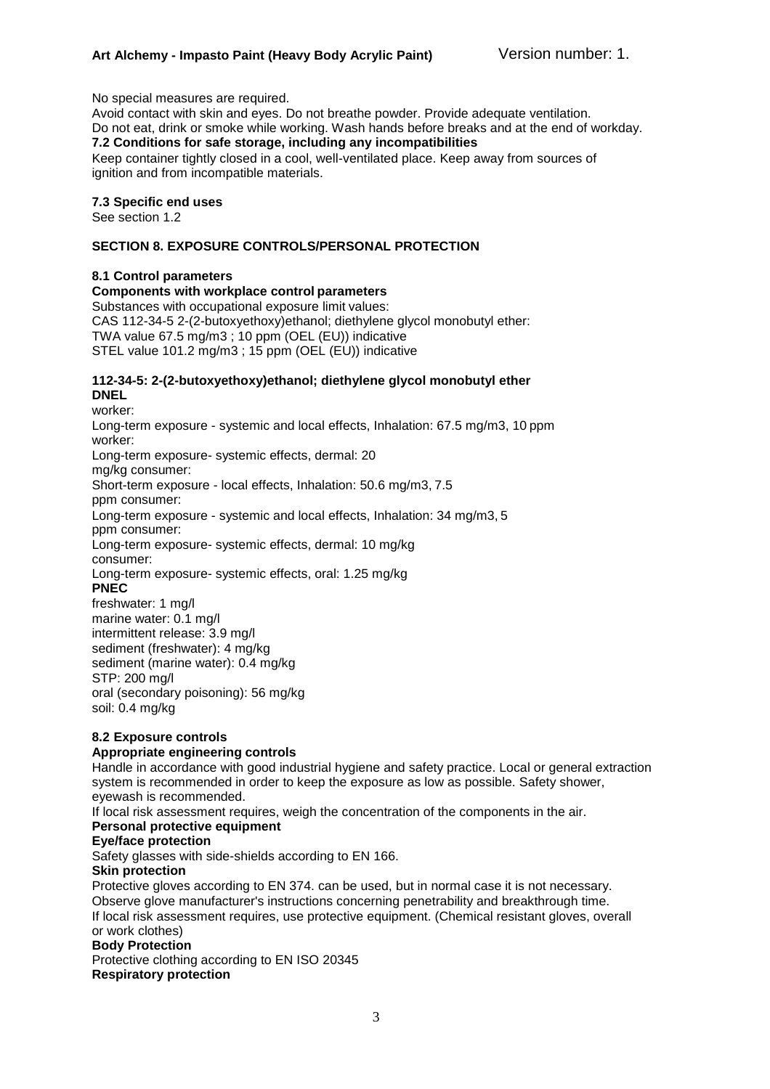No special measures are required.

Avoid contact with skin and eyes. Do not breathe powder. Provide adequate ventilation. Do not eat, drink or smoke while working. Wash hands before breaks and at the end of workday. **7.2 Conditions for safe storage, including any incompatibilities** Keep container tightly closed in a cool, well-ventilated place. Keep away from sources of ignition and from incompatible materials.

#### **7.3 Specific end uses**

See section 1.2

### **SECTION 8. EXPOSURE CONTROLS/PERSONAL PROTECTION**

## **8.1 Control parameters**

#### **Components with workplace control parameters**

Substances with occupational exposure limit values: CAS 112-34-5 2-(2-butoxyethoxy)ethanol; diethylene glycol monobutyl ether: TWA value 67.5 mg/m3 ; 10 ppm (OEL (EU)) indicative STEL value 101.2 mg/m3 ; 15 ppm (OEL (EU)) indicative

#### **112-34-5: 2-(2-butoxyethoxy)ethanol; diethylene glycol monobutyl ether DNEL**

worker: Long-term exposure - systemic and local effects, Inhalation: 67.5 mg/m3, 10 ppm worker: Long-term exposure- systemic effects, dermal: 20 mg/kg consumer: Short-term exposure - local effects, Inhalation: 50.6 mg/m3, 7.5 ppm consumer: Long-term exposure - systemic and local effects, Inhalation: 34 mg/m3, 5 ppm consumer: Long-term exposure- systemic effects, dermal: 10 mg/kg consumer: Long-term exposure- systemic effects, oral: 1.25 mg/kg **PNEC** freshwater: 1 mg/l marine water: 0.1 mg/l intermittent release: 3.9 mg/l sediment (freshwater): 4 mg/kg sediment (marine water): 0.4 mg/kg STP: 200 mg/l oral (secondary poisoning): 56 mg/kg

soil: 0.4 mg/kg

#### **8.2 Exposure controls Appropriate engineering controls**

Handle in accordance with good industrial hygiene and safety practice. Local or general extraction system is recommended in order to keep the exposure as low as possible. Safety shower, eyewash is recommended.

If local risk assessment requires, weigh the concentration of the components in the air. **Personal protective equipment** 

#### **Eye/face protection**

Safety glasses with side-shields according to EN 166.

#### **Skin protection**

Protective gloves according to EN 374. can be used, but in normal case it is not necessary. Observe glove manufacturer's instructions concerning penetrability and breakthrough time. If local risk assessment requires, use protective equipment. (Chemical resistant gloves, overall or work clothes)

## **Body Protection**

Protective clothing according to EN ISO 20345 **Respiratory protection**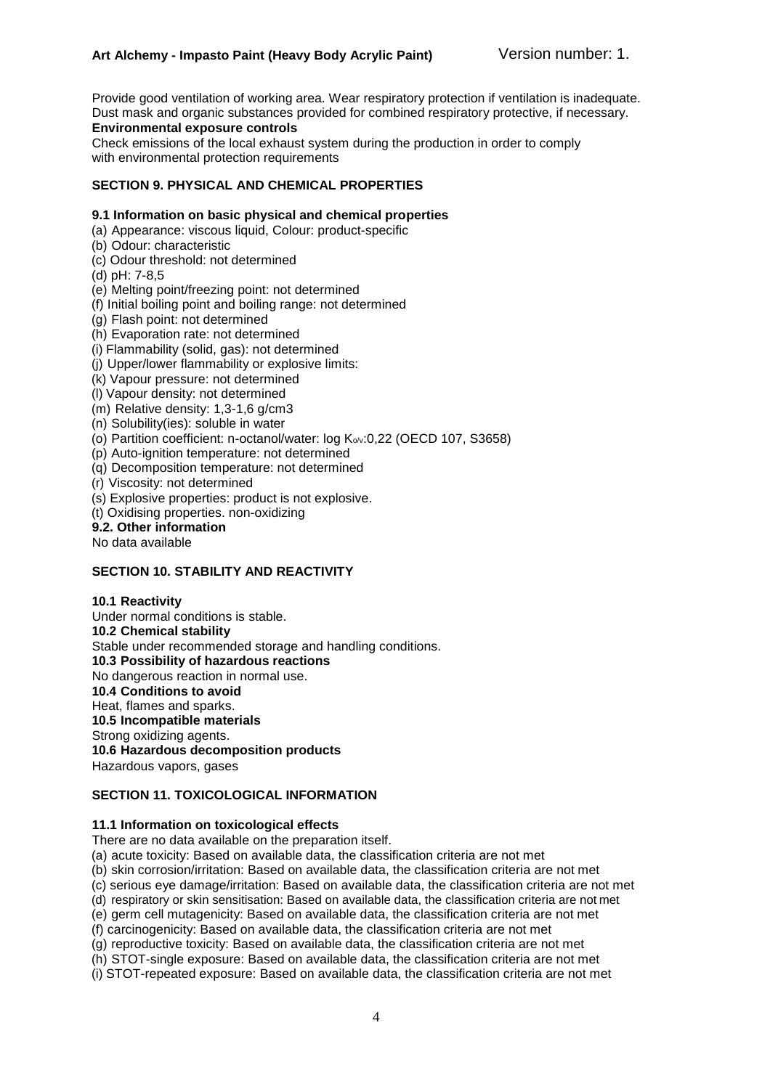Provide good ventilation of working area. Wear respiratory protection if ventilation is inadequate. Dust mask and organic substances provided for combined respiratory protective, if necessary.

## **Environmental exposure controls**

Check emissions of the local exhaust system during the production in order to comply with environmental protection requirements

#### **SECTION 9. PHYSICAL AND CHEMICAL PROPERTIES**

#### **9.1 Information on basic physical and chemical properties**

- (a) Appearance: viscous liquid, Colour: product-specific
- (b) Odour: characteristic
- (c) Odour threshold: not determined
- (d) pH: 7-8,5
- (e) Melting point/freezing point: not determined
- (f) Initial boiling point and boiling range: not determined
- (g) Flash point: not determined
- (h) Evaporation rate: not determined
- (i) Flammability (solid, gas): not determined
- (j) Upper/lower flammability or explosive limits:
- (k) Vapour pressure: not determined
- (l) Vapour density: not determined
- (m) Relative density: 1,3-1,6 g/cm3
- (n) Solubility(ies): soluble in water
- (o) Partition coefficient: n-octanol/water: log Ko/v:0,22 (OECD 107, S3658)
- (p) Auto-ignition temperature: not determined
- (q) Decomposition temperature: not determined
- (r) Viscosity: not determined
- (s) Explosive properties: product is not explosive.
- (t) Oxidising properties. non-oxidizing

#### **9.2. Other information**

No data available

## **SECTION 10. STABILITY AND REACTIVITY**

#### **10.1 Reactivity**

Under normal conditions is stable. **10.2 Chemical stability**  Stable under recommended storage and handling conditions. **10.3 Possibility of hazardous reactions**  No dangerous reaction in normal use. **10.4 Conditions to avoid**  Heat, flames and sparks. **10.5 Incompatible materials**  Strong oxidizing agents. **10.6 Hazardous decomposition products**  Hazardous vapors, gases

#### **SECTION 11. TOXICOLOGICAL INFORMATION**

#### **11.1 Information on toxicological effects**

There are no data available on the preparation itself.

(a) acute toxicity: Based on available data, the classification criteria are not met

- (b) skin corrosion/irritation: Based on available data, the classification criteria are not met
- (c) serious eye damage/irritation: Based on available data, the classification criteria are not met
- (d) respiratory or skin sensitisation: Based on available data, the classification criteria are not met
- (e) germ cell mutagenicity: Based on available data, the classification criteria are not met
- (f) carcinogenicity: Based on available data, the classification criteria are not met
- (g) reproductive toxicity: Based on available data, the classification criteria are not met
- (h) STOT-single exposure: Based on available data, the classification criteria are not met
- (i) STOT-repeated exposure: Based on available data, the classification criteria are not met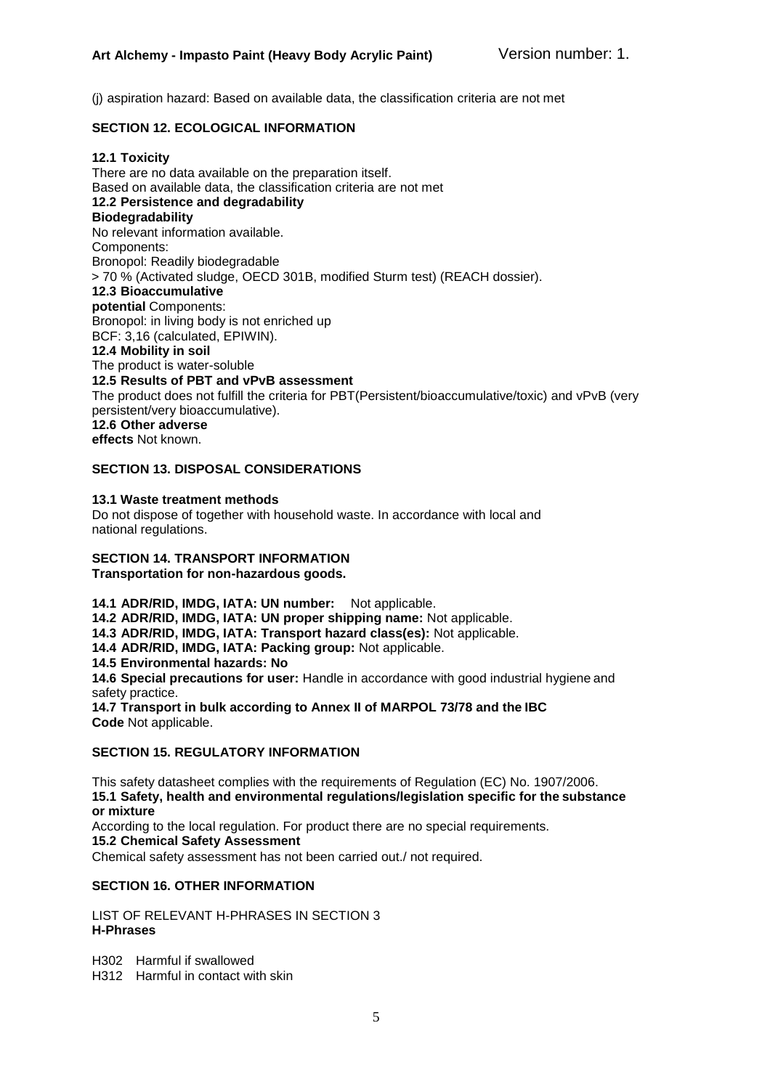(j) aspiration hazard: Based on available data, the classification criteria are not met

## **SECTION 12. ECOLOGICAL INFORMATION**

#### **12.1 Toxicity**

There are no data available on the preparation itself. Based on available data, the classification criteria are not met **12.2 Persistence and degradability Biodegradability** No relevant information available. Components: Bronopol: Readily biodegradable > 70 % (Activated sludge, OECD 301B, modified Sturm test) (REACH dossier). **12.3 Bioaccumulative potential** Components: Bronopol: in living body is not enriched up BCF: 3,16 (calculated, EPIWIN). **12.4 Mobility in soil** The product is water-soluble **12.5 Results of PBT and vPvB assessment** The product does not fulfill the criteria for PBT(Persistent/bioaccumulative/toxic) and vPvB (very persistent/very bioaccumulative). **12.6 Other adverse effects** Not known.

#### **SECTION 13. DISPOSAL CONSIDERATIONS**

#### **13.1 Waste treatment methods**

Do not dispose of together with household waste. In accordance with local and national regulations.

#### **SECTION 14. TRANSPORT INFORMATION**

**Transportation for non-hazardous goods.**

**14.1 ADR/RID, IMDG, IATA: UN number:** Not applicable. **14.2 ADR/RID, IMDG, IATA: UN proper shipping name:** Not applicable. **14.3 ADR/RID, IMDG, IATA: Transport hazard class(es):** Not applicable. **14.4 ADR/RID, IMDG, IATA: Packing group:** Not applicable. **14.5 Environmental hazards: No 14.6 Special precautions for user:** Handle in accordance with good industrial hygiene and safety practice. **14.7 Transport in bulk according to Annex II of MARPOL 73/78 and the IBC Code** Not applicable.

#### **SECTION 15. REGULATORY INFORMATION**

This safety datasheet complies with the requirements of Regulation (EC) No. 1907/2006. **15.1 Safety, health and environmental regulations/legislation specific for the substance or mixture**

According to the local regulation. For product there are no special requirements.

**15.2 Chemical Safety Assessment**

Chemical safety assessment has not been carried out./ not required.

## **SECTION 16. OTHER INFORMATION**

LIST OF RELEVANT H-PHRASES IN SECTION 3 **H-Phrases**

H302 Harmful if swallowed

H312 Harmful in contact with skin